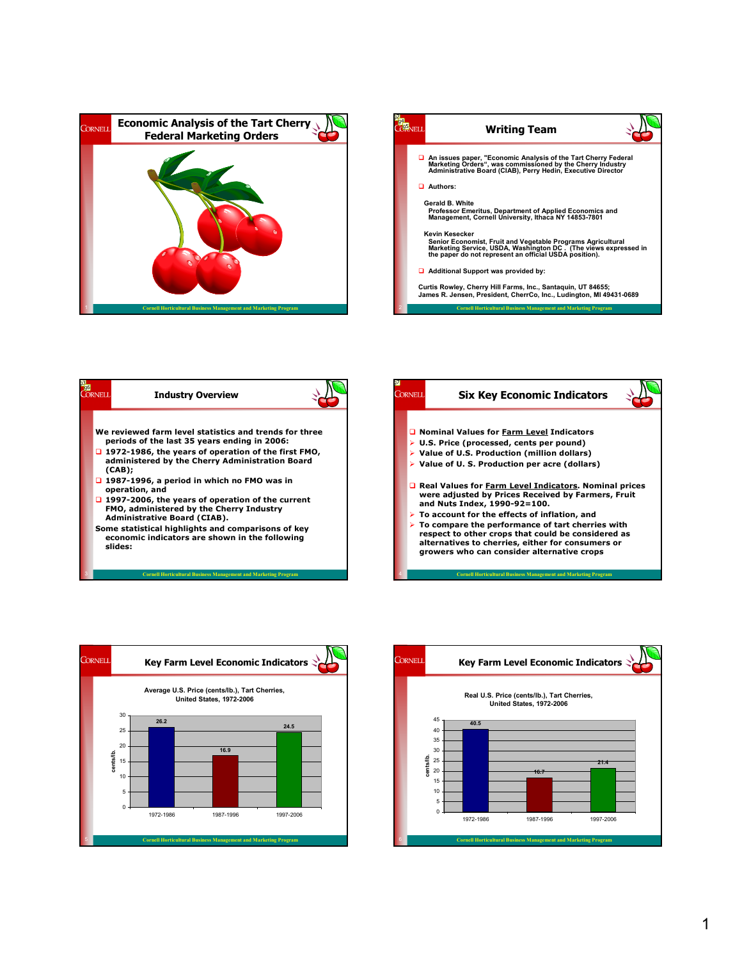







3 Cornell Horticultural Business Management and Marketing Program



4 Cornell Horticultural Business Management and Marketing Program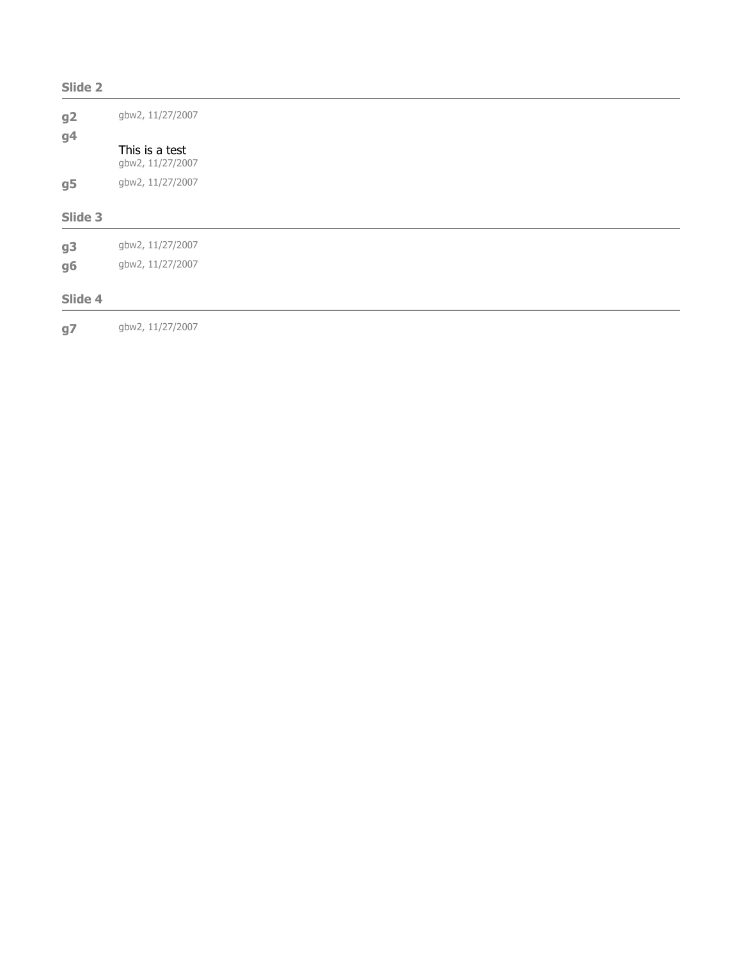| Slide 2        |                                    |  |  |  |
|----------------|------------------------------------|--|--|--|
| g2<br>g4       | gbw2, 11/27/2007                   |  |  |  |
|                | This is a test<br>gbw2, 11/27/2007 |  |  |  |
| g <sub>5</sub> | gbw2, 11/27/2007                   |  |  |  |
| Slide 3        |                                    |  |  |  |
| g3             | gbw2, 11/27/2007                   |  |  |  |
| g6             | gbw2, 11/27/2007                   |  |  |  |
| Slide 4        |                                    |  |  |  |
|                |                                    |  |  |  |

g**7** gbw2, 11/27/2007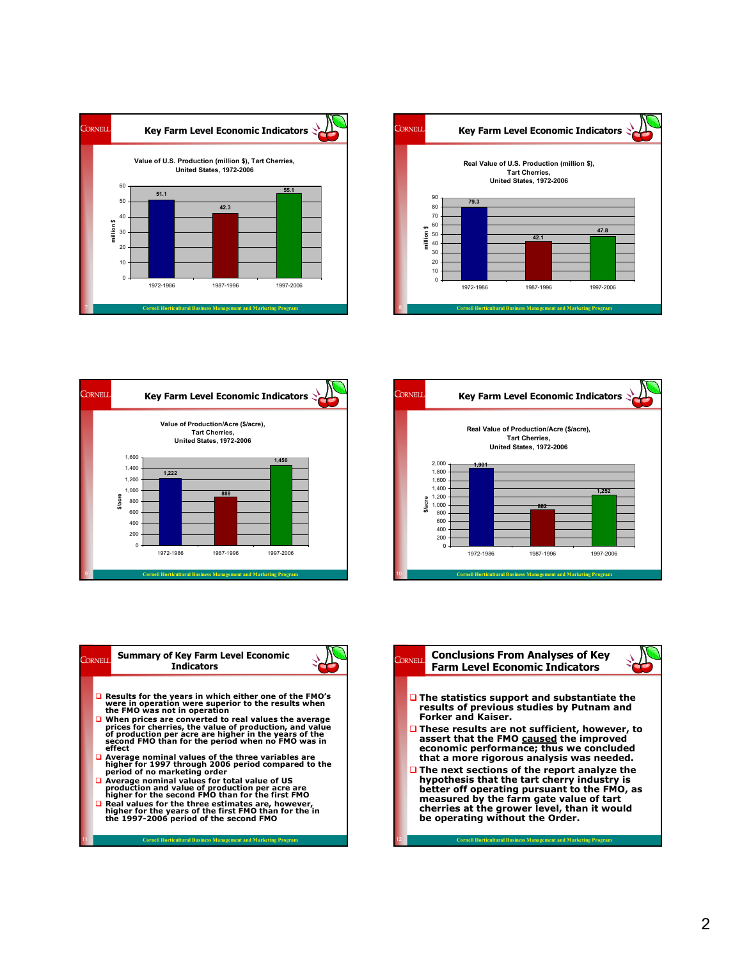











12 Cornell Horticultural Business Management and Marketing Program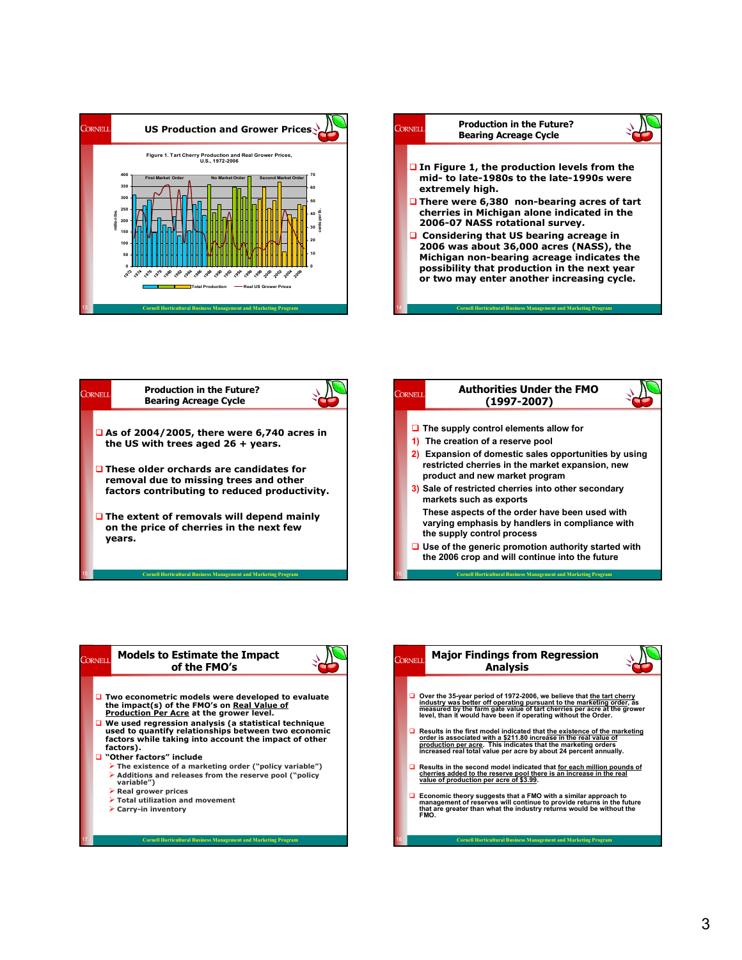









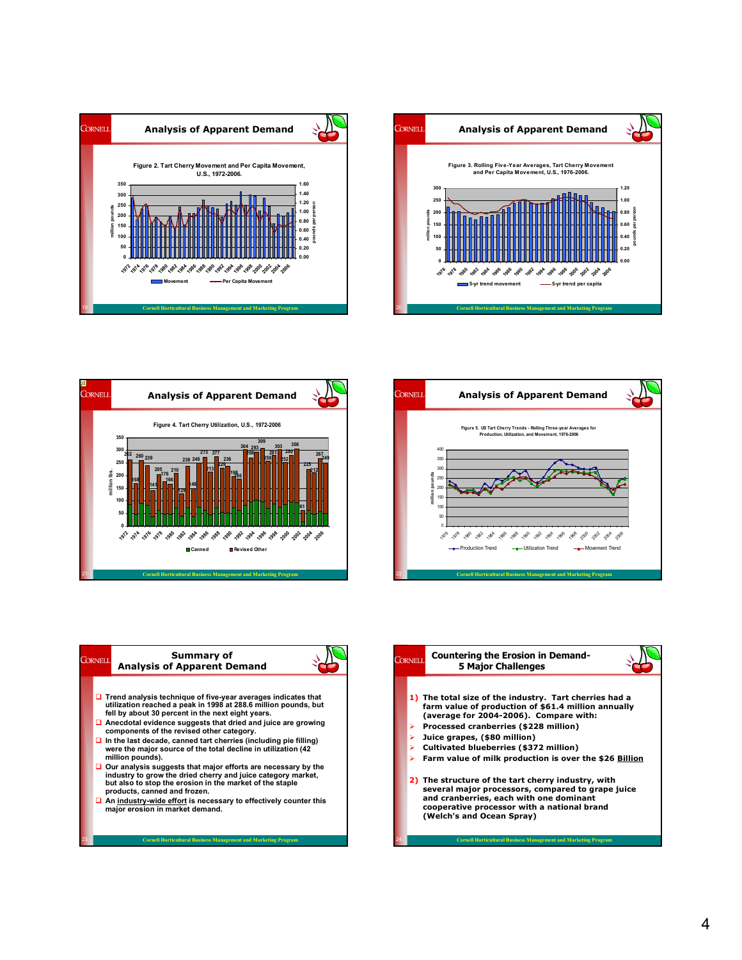









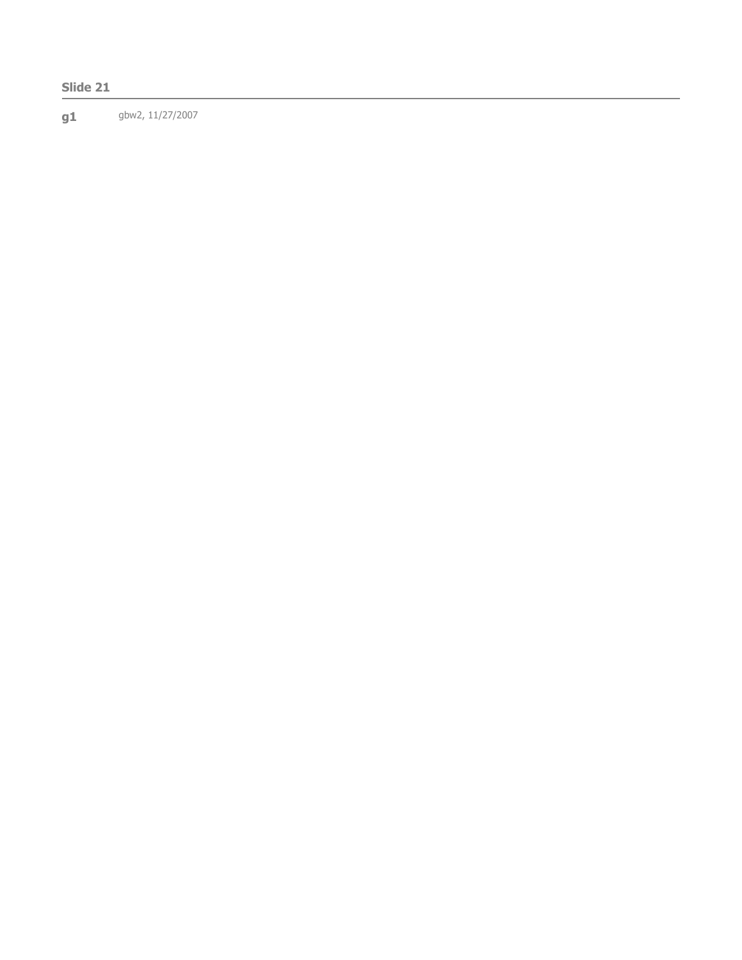## Slide 21

g1 gbw2, 11/27/2007